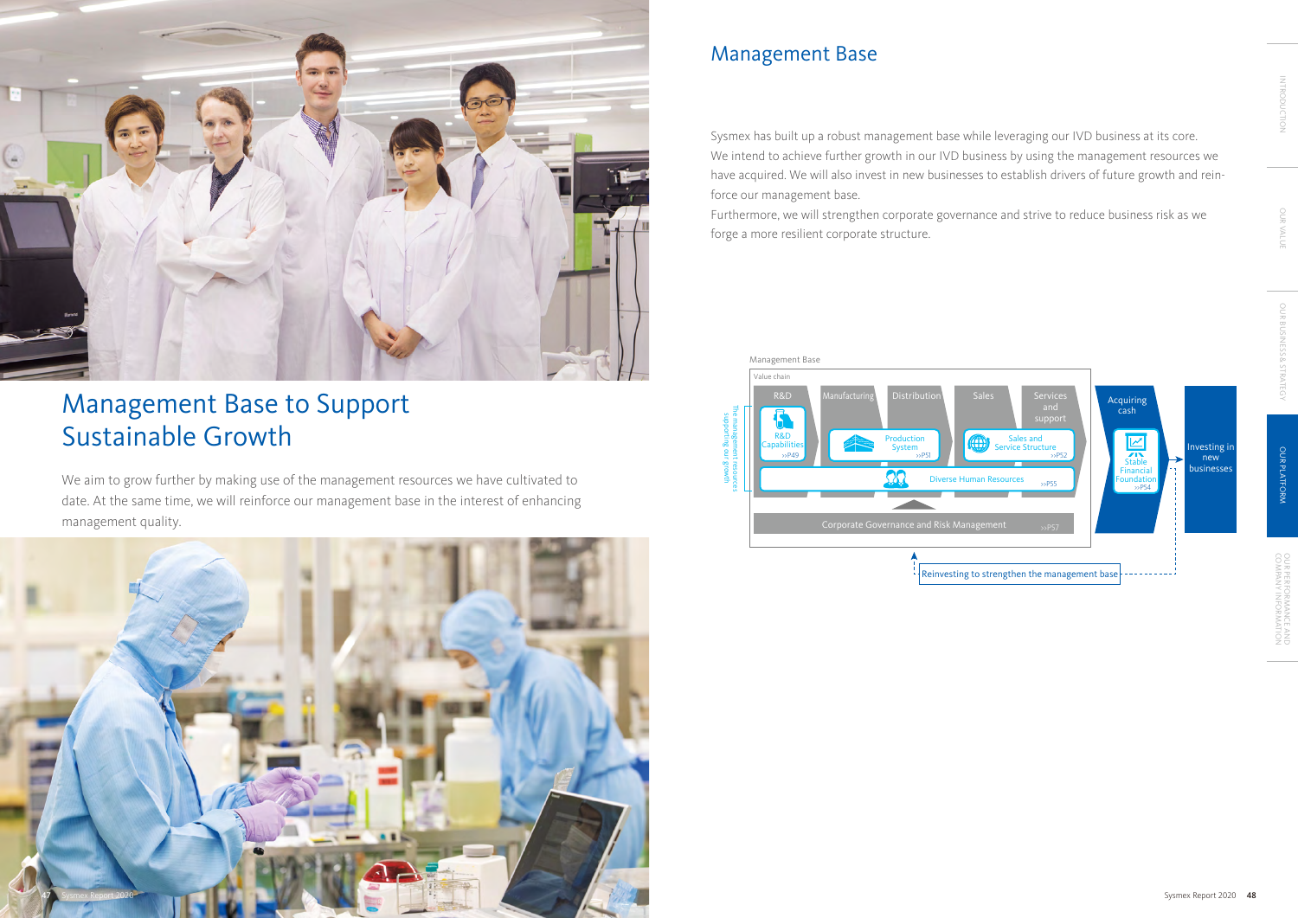

Sysmex has built up a robust management base while leveraging our IVD business at its core. We intend to achieve further growth in our IVD business by using the management resources we have acquired. We will also invest in new businesses to establish drivers of future growth and reinforce our management base.

Furthermore, we will strengthen corporate governance and strive to reduce business risk as we forge a more resilient corporate structure.

# Management Base



# Management Base to Support Sustainable Growth

We aim to grow further by making use of the management resources we have cultivated to date. At the same time, we will reinforce our management base in the interest of enhancing management quality.

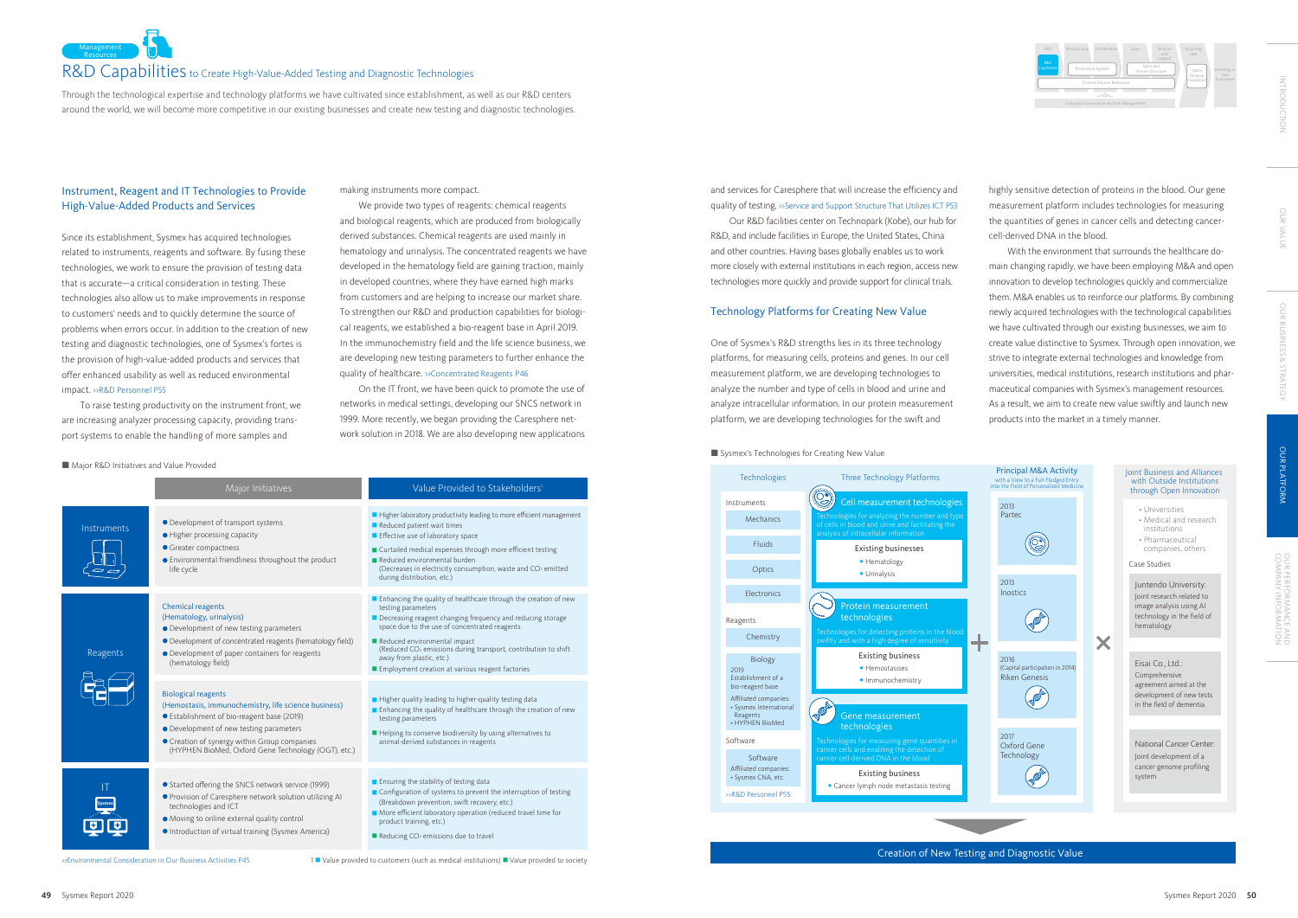

### Joint Business and Alliances with Outside Institutions through Open Innovation



Creation of New Testing and Diagnostic Value

- Universities
- Medical and research institutions
- Pharmaceutical companies, others

### Case Studies

Juntendo University: Joint research related to image analysis using AI technology in the field of hematology

Eisai Co., Ltd.: Comprehensive agreement aimed at the development of new tests in the field of dementia

National Cancer Center: Joint development of a cancer genome profiling system



We provide two types of reagents: chemical reagents and biological reagents, which are produced from biologically derived substances. Chemical reagents are used mainly in hematology and urinalysis. The concentrated reagents we have developed in the hematology field are gaining traction, mainly in developed countries, where they have earned high marks from customers and are helping to increase our market share. To strengthen our R&D and production capabilities for biological reagents, we established a bio-reagent base in April 2019. In the immunochemistry field and the life science business, we are developing new testing parameters to further enhance the quality of healthcare. »Concentrated Reagents P46

Acquiring

Corporate Governance and Risk Management



Diverse Human Resources

R&D Manufacturing Distribution Sales Services

Capabilities | Production System

Sales and Service Structure

Through the technological expertise and technology platforms we have cultivated since establishment, as well as our R&D centers around the world, we will become more competitive in our existing businesses and create new testing and diagnostic technologies.

# Instrument, Reagent and IT Technologies to Provide High-Value-Added Products and Services

Since its establishment, Sysmex has acquired technologies related to instruments, reagents and software. By fusing these technologies, we work to ensure the provision of testing data that is accurate—a critical consideration in testing. These technologies also allow us to make improvements in response to customers' needs and to quickly determine the source of problems when errors occur. In addition to the creation of new testing and diagnostic technologies, one of Sysmex's fortes is the provision of high-value-added products and services that offer enhanced usability as well as reduced environmental impact. >>R&D Personnel P55

To raise testing productivity on the instrument front, we are increasing analyzer processing capacity, providing transport systems to enable the handling of more samples and

**Major R&D Initiatives and Value Provided** 

making instruments more compact.

On the IT front, we have been quick to promote the use of networks in medical settings, developing our SNCS network in 1999. More recently, we began providing the Caresphere network solution in 2018. We are also developing new applications

Major Initiatives Major Initiatives Major Initiatives 1999 Major Initiatives Higher laboratory productivity leading to more efficient management Development of transport systems Reduced patient wait times Instruments ● Higher processing capacity **Effective use of laboratory space Greater compactness**  Curtailed medical expenses through more efficient testing  $\Box$  Environmental friendliness throughout the product Reduced environmental burden r alu (Decreases in electricity consumption, waste and CO2 emitted life cycle during distribution, etc.) **E** Enhancing the quality of healthcare through the creation of new Chemical reagents testing parameters (Hematology, urinalysis) Decreasing reagent changing frequency and reducing storage space due to the use of concentrated reagents Development of new testing parameters Development of concentrated reagents (hematology field) Reduced environmental impact (Reduced CO2 emissions during transport, contribution to shift Reagents Development of paper containers for reagents away from plastic, etc.) (hematology field) **Employment creation at various reagent factories** Biological reagents Higher quality leading to higher-quality testing data (Hemostasis, immunochemistry, life science business) **E** Enhancing the quality of healthcare through the creation of new Establishment of bio-reagent base (2019) testing parameters  $\bullet$  Development of new testing parameters Helping to conserve biodiversity by using alternatives to Creation of synergy within Group companies animal-derived substances in reagents (HYPHEN BioMed, Oxford Gene Technology (OGT), etc.) **Ensuring the stability of testing data** ● Started offering the SNCS network service (1999) IT Configuration of systems to prevent the interruption of testing ● Provision of Caresphere network solution utilizing AI **Sysmex** (Breakdown prevention, swift recovery, etc.) technologies and ICT More efficient laboratory operation (reduced travel time for Moving to online external quality control இற product training, etc.) Introduction of virtual training (Sysmex America)  $\blacksquare$  Reducing CO<sub>2</sub> emissions due to travel

and services for Caresphere that will increase the efficiency and quality of testing. >>Service and Support Structure That Utilizes ICT P53

Our R&D facilities center on Technopark (Kobe), our hub for R&D, and include facilities in Europe, the United States, China and other countries. Having bases globally enables us to work more closely with external institutions in each region, access new technologies more quickly and provide support for clinical trials.

## Technology Platforms for Creating New Value

One of Sysmex's R&D strengths lies in its three technology platforms, for measuring cells, proteins and genes. In our cell measurement platform, we are developing technologies to analyze the number and type of cells in blood and urine and analyze intracellular information. In our protein measurement platform, we are developing technologies for the swift and

### Sysmex's Technologies for Creating New Value

highly sensitive detection of proteins in the blood. Our gene measurement platform includes technologies for measuring the quantities of genes in cancer cells and detecting cancercell-derived DNA in the blood.

With the environment that surrounds the healthcare domain changing rapidly, we have been employing M&A and open innovation to develop technologies quickly and commercialize them. M&A enables us to reinforce our platforms. By combining newly acquired technologies with the technological capabilities we have cultivated through our existing businesses, we aim to create value distinctive to Sysmex. Through open innovation, we strive to integrate external technologies and knowledge from universities, medical institutions, research institutions and pharmaceutical companies with Sysmex's management resources. As a result, we aim to create new value swiftly and launch new products into the market in a timely manner.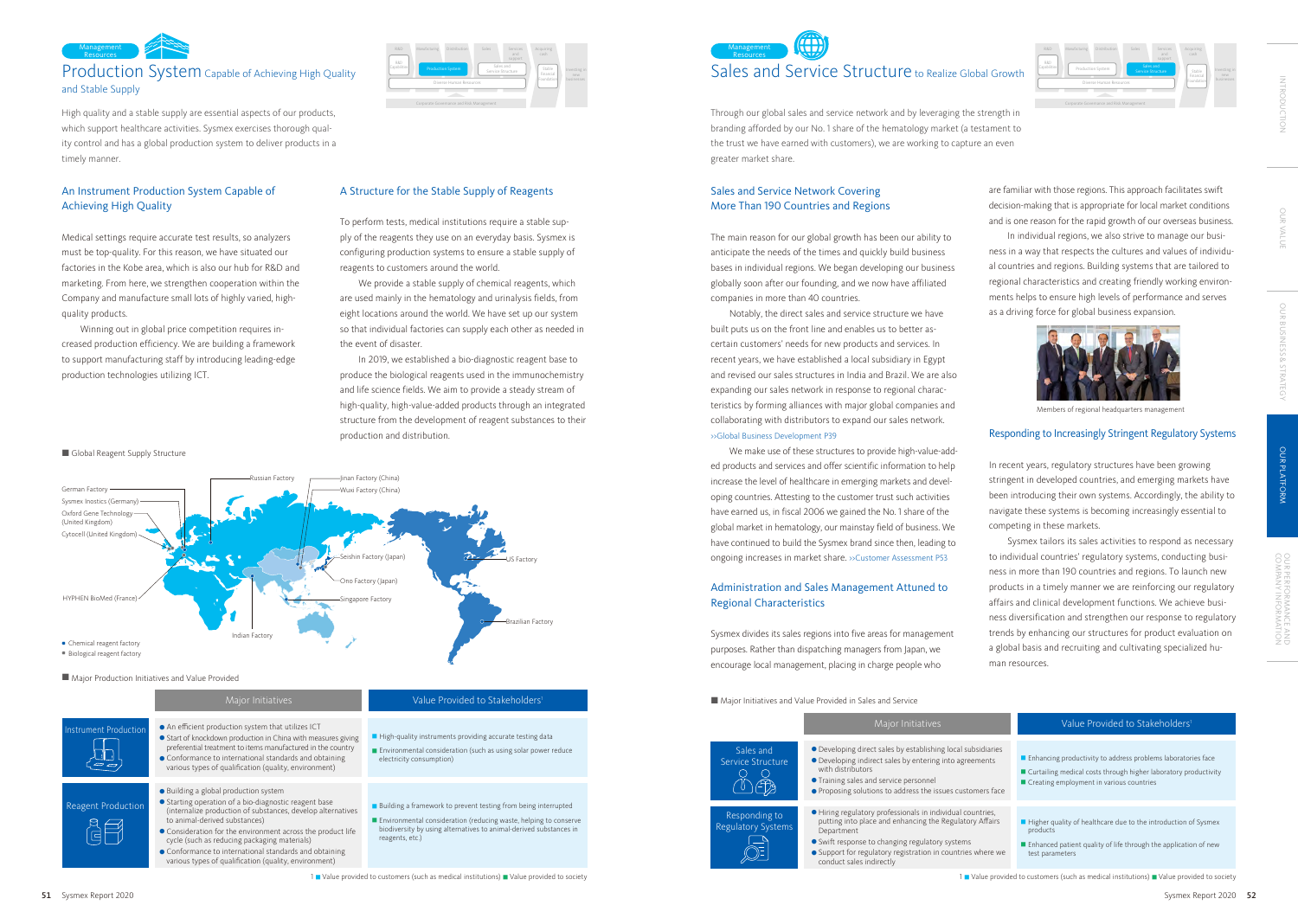# Production System Capable of Achieving High Quality and Stable Supply

# Sales and Service Structure to Realize Global Growth Service Structure Investing in Management **Resources**





Responding to Regulatory Systems

 $\overline{\bigcirc}$ 

Sales and Service Structure

> $\circ$  O (<sup>i</sup>) (T)

### Major Initiatives and Value Provided in Sales and Service





- Developing direct sales by establishing local subsidiaries Developing indirect sales by entering into agreements
- with distributors **• Training sales and service personnel**
- Proposing solutions to address the issues customers face
- Hiring regulatory professionals in individual countries, putting into place and enhancing the Regulatory Affairs Department
- Swift response to changing regulatory systems
- Support for regulatory registration in countries where we conduct sales indirectly

# Global Reagent Supply Structure

Corporate Governance and Risk Management

### Investing in new businesses Acquiring R&D Manufacturing Distribution Sales Services R&D Capabilities **Production System** Diverse Human Resources Stable Financial Foundation Sales and



High quality and a stable supply are essential aspects of our products, which support healthcare activities. Sysmex exercises thorough quality control and has a global production system to deliver products in a timely manner.

Through our global sales and service network and by leveraging the strength in branding afforded by our No. 1 share of the hematology market (a testament to the trust we have earned with customers), we are working to capture an even greater market share.

# An Instrument Production System Capable of Achieving High Quality

Medical settings require accurate test results, so analyzers must be top-quality. For this reason, we have situated our factories in the Kobe area, which is also our hub for R&D and marketing. From here, we strengthen cooperation within the Company and manufacture small lots of highly varied, highquality products.

Winning out in global price competition requires increased production efficiency. We are building a framework to support manufacturing staff by introducing leading-edge production technologies utilizing ICT.

# Sales and Service Network Covering More Than 190 Countries and Regions

The main reason for our global growth has been our ability to anticipate the needs of the times and quickly build business bases in individual regions. We began developing our business globally soon after our founding, and we now have affiliated companies in more than 40 countries.

Notably, the direct sales and service structure we have built puts us on the front line and enables us to better ascertain customers' needs for new products and services. In recent years, we have established a local subsidiary in Egypt and revised our sales structures in India and Brazil. We are also expanding our sales network in response to regional characteristics by forming alliances with major global companies and collaborating with distributors to expand our sales network. >>Global Business Development P39

We make use of these structures to provide high-value-added products and services and offer scientific information to help increase the level of healthcare in emerging markets and developing countries. Attesting to the customer trust such activities have earned us, in fiscal 2006 we gained the No. 1 share of the global market in hematology, our mainstay field of business. We have continued to build the Sysmex brand since then, leading to ongoing increases in market share. >>Customer Assessment P53

# Administration and Sales Management Attuned to Regional Characteristics

Sysmex divides its sales regions into five areas for management purposes. Rather than dispatching managers from Japan, we encourage local management, placing in charge people who

are familiar with those regions. This approach facilitates swift decision-making that is appropriate for local market conditions and is one reason for the rapid growth of our overseas business.

In individual regions, we also strive to manage our business in a way that respects the cultures and values of individual countries and regions. Building systems that are tailored to regional characteristics and creating friendly working environments helps to ensure high levels of performance and serves as a driving force for global business expansion.

# Responding to Increasingly Stringent Regulatory Systems

In recent years, regulatory structures have been growing stringent in developed countries, and emerging markets have been introducing their own systems. Accordingly, the ability to navigate these systems is becoming increasingly essential to competing in these markets.

Sysmex tailors its sales activities to respond as necessary to individual countries' regulatory systems, conducting business in more than 190 countries and regions. To launch new products in a timely manner we are reinforcing our regulatory affairs and clinical development functions. We achieve business diversification and strengthen our response to regulatory trends by enhancing our structures for product evaluation on a global basis and recruiting and cultivating specialized human resources.

# A Structure for the Stable Supply of Reagents

To perform tests, medical institutions require a stable supply of the reagents they use on an everyday basis. Sysmex is configuring production systems to ensure a stable supply of reagents to customers around the world.

We provide a stable supply of chemical reagents, which are used mainly in the hematology and urinalysis fields, from eight locations around the world. We have set up our system so that individual factories can supply each other as needed in the event of disaster.

In 2019, we established a bio-diagnostic reagent base to produce the biological reagents used in the immunochemistry and life science fields. We aim to provide a steady stream of high-quality, high-value-added products through an integrated structure from the development of reagent substances to their production and distribution.



Members of regional headquarters management

OUR VALUE

OUR BUSINESS & STRATEGY

OUR BUSINESS & STRATEGY

OUR PLATFORM

OUR<br>SOM

PERFORMANCE AND<br>PANY INFORMATION

OUR PLATFORM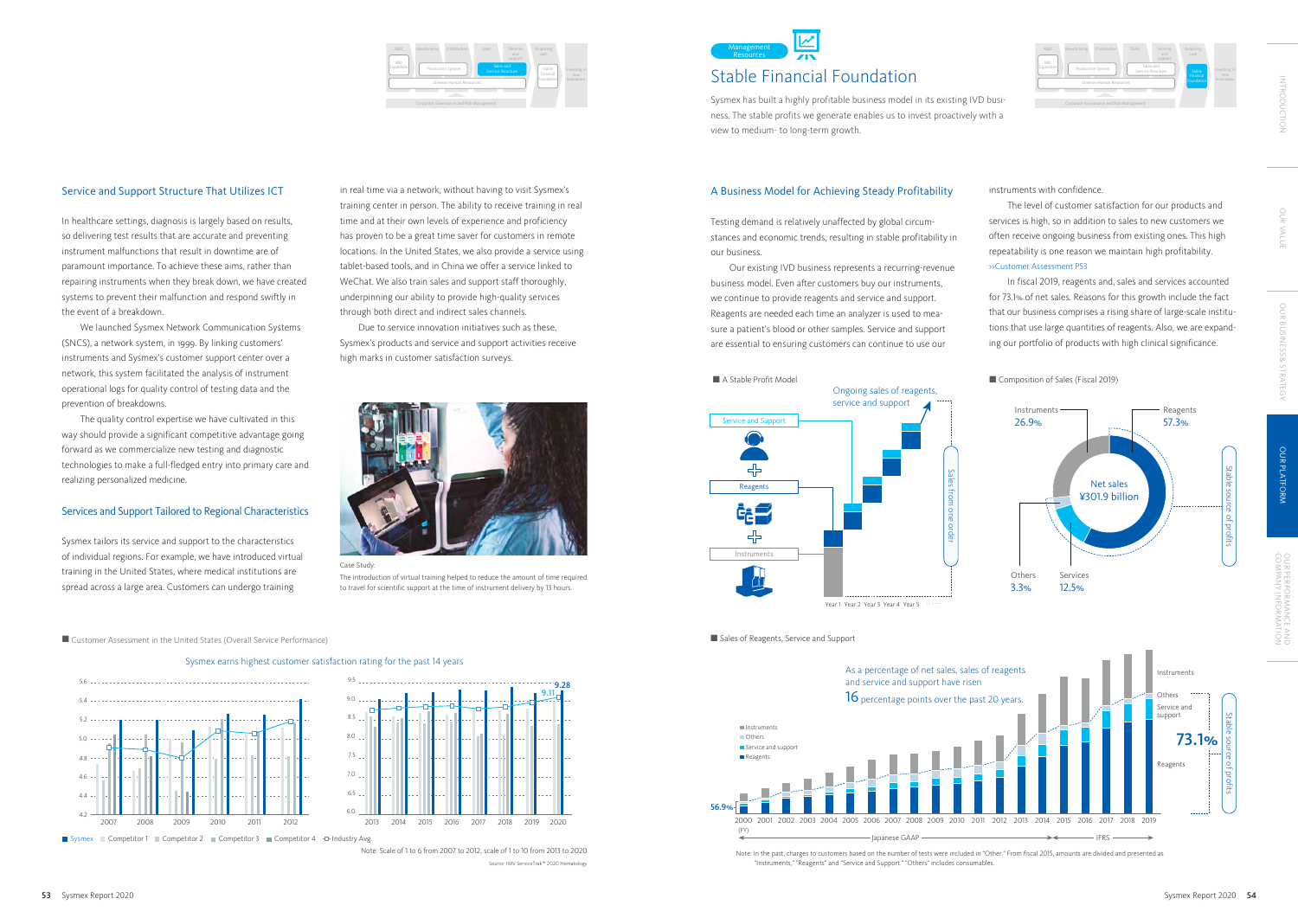Management **Resources** 

Sysmex earns highest customer satisfaction rating for the past 14 years

Source: IMV ServiceTrak™ 2020 Hematology Note: Scale of 1 to 6 from 2007 to 2012, scale of 1 to 10 from 2013 to 2020



Sysmex Competitor 1 Competitor 2 Competitor 3 Competitor 4 <del>D</del> Industry Avg.

9.5











Sales of Reagents, Service and Support





Note: In the past, charges to customers based on the number of tests were included in "Other." From fiscal 2015, amounts are divided and presented as "Instruments," "Reagents" and "Service and Support." "Others" includes consumables.

### ■ Customer Assessment in the United States (Overall Service Performance)

### Service and Support Structure That Utilizes ICT

In healthcare settings, diagnosis is largely based on results, so delivering test results that are accurate and preventing instrument malfunctions that result in downtime are of paramount importance. To achieve these aims, rather than repairing instruments when they break down, we have created systems to prevent their malfunction and respond swiftly in the event of a breakdown.

We launched Sysmex Network Communication Systems (SNCS), a network system, in 1999. By linking customers' instruments and Sysmex's customer support center over a network, this system facilitated the analysis of instrument operational logs for quality control of testing data and the prevention of breakdowns.

The quality control expertise we have cultivated in this way should provide a significant competitive advantage going forward as we commercialize new testing and diagnostic technologies to make a full-fledged entry into primary care and realizing personalized medicine.

### Services and Support Tailored to Regional Characteristics

Sysmex tailors its service and support to the characteristics of individual regions. For example, we have introduced virtual training in the United States, where medical institutions are spread across a large area. Customers can undergo training

### A Business Model for Achieving Steady Profitability

Testing demand is relatively unaffected by global circumstances and economic trends, resulting in stable profitability in our business.

Our existing IVD business represents a recurring-revenue business model. Even after customers buy our instruments, we continue to provide reagents and service and support. Reagents are needed each time an analyzer is used to measure a patient's blood or other samples. Service and support are essential to ensuring customers can continue to use our

in real time via a network, without having to visit Sysmex's training center in person. The ability to receive training in real time and at their own levels of experience and proficiency has proven to be a great time saver for customers in remote locations. In the United States, we also provide a service using tablet-based tools, and in China we offer a service linked to WeChat. We also train sales and support staff thoroughly, underpinning our ability to provide high-quality services through both direct and indirect sales channels.

Due to service innovation initiatives such as these, Sysmex's products and service and support activities receive high marks in customer satisfaction surveys.



instruments with confidence.

The level of customer satisfaction for our products and services is high, so in addition to sales to new customers we often receive ongoing business from existing ones. This high repeatability is one reason we maintain high profitability. >>Customer Assessment P53

In fiscal 2019, reagents and, sales and services accounted for 73.1% of net sales. Reasons for this growth include the fact that our business comprises a rising share of large-scale institutions that use large quantities of reagents. Also, we are expanding our portfolio of products with high clinical significance.

Case Study:

Sysmex has built a highly profitable business model in its existing IVD business. The stable profits we generate enables us to invest proactively with a view to medium- to long-term growth.

OUR VALUE

**OUR VALU** 

The introduction of virtual training helped to reduce the amount of time required to travel for scientific support at the time of instrument delivery by 13 hours.